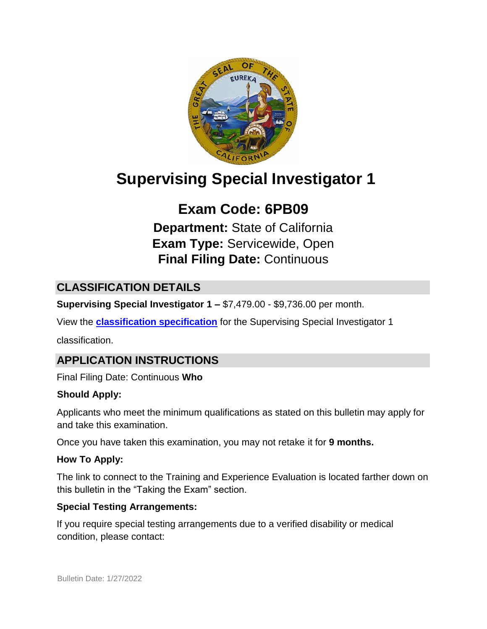

# **Supervising Special Investigator 1**

## **Exam Code: 6PB09**

**Department:** State of California **Exam Type:** Servicewide, Open **Final Filing Date:** Continuous

## **CLASSIFICATION DETAILS**

**Supervising Special Investigator 1 –** \$7,479.00 - \$9,736.00 per month.

View the **[classification specification](http://www.calhr.ca.gov/state-hr-professionals/pages/8548.aspx)** for the Supervising Special Investigator 1

classification.

## **APPLICATION INSTRUCTIONS**

Final Filing Date: Continuous **Who** 

#### **Should Apply:**

Applicants who meet the minimum qualifications as stated on this bulletin may apply for and take this examination.

Once you have taken this examination, you may not retake it for **9 months.**

#### **How To Apply:**

The link to connect to the Training and Experience Evaluation is located farther down on this bulletin in the "Taking the Exam" section.

#### **Special Testing Arrangements:**

If you require special testing arrangements due to a verified disability or medical condition, please contact: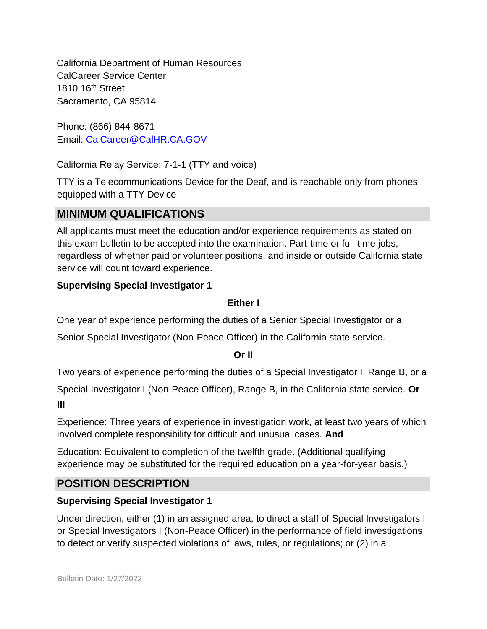California Department of Human Resources CalCareer Service Center 1810 16th Street Sacramento, CA 95814

Phone: (866) 844-8671 Email: CalCareer@CalHR.CA.GOV

California Relay Service: 7-1-1 (TTY and voice)

TTY is a Telecommunications Device for the Deaf, and is reachable only from phones equipped with a TTY Device

#### **MINIMUM QUALIFICATIONS**

All applicants must meet the education and/or experience requirements as stated on this exam bulletin to be accepted into the examination. Part-time or full-time jobs, regardless of whether paid or volunteer positions, and inside or outside California state service will count toward experience.

#### **Supervising Special Investigator 1**

#### **Either I**

One year of experience performing the duties of a Senior Special Investigator or a

Senior Special Investigator (Non-Peace Officer) in the California state service.

#### **Or II**

Two years of experience performing the duties of a Special Investigator I, Range B, or a

Special Investigator I (Non-Peace Officer), Range B, in the California state service. **Or III** 

Experience: Three years of experience in investigation work, at least two years of which involved complete responsibility for difficult and unusual cases. **And**

Education: Equivalent to completion of the twelfth grade. (Additional qualifying experience may be substituted for the required education on a year-for-year basis.)

## **POSITION DESCRIPTION**

#### **Supervising Special Investigator 1**

Under direction, either (1) in an assigned area, to direct a staff of Special Investigators I or Special Investigators I (Non-Peace Officer) in the performance of field investigations to detect or verify suspected violations of laws, rules, or regulations; or (2) in a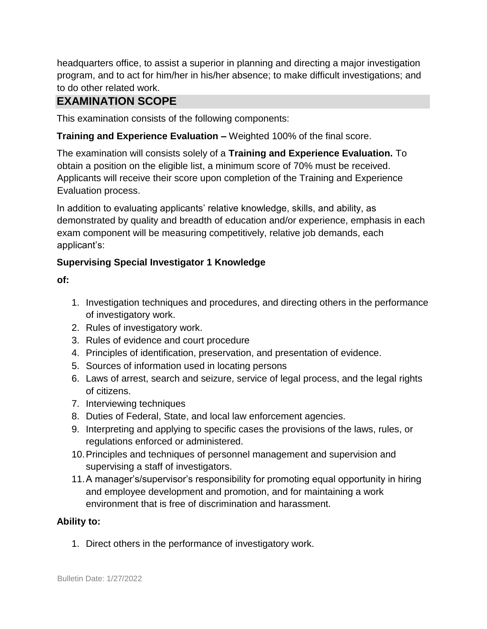headquarters office, to assist a superior in planning and directing a major investigation program, and to act for him/her in his/her absence; to make difficult investigations; and to do other related work.

## **EXAMINATION SCOPE**

This examination consists of the following components:

#### **Training and Experience Evaluation –** Weighted 100% of the final score.

The examination will consists solely of a **Training and Experience Evaluation.** To obtain a position on the eligible list, a minimum score of 70% must be received. Applicants will receive their score upon completion of the Training and Experience Evaluation process.

In addition to evaluating applicants' relative knowledge, skills, and ability, as demonstrated by quality and breadth of education and/or experience, emphasis in each exam component will be measuring competitively, relative job demands, each applicant's:

#### **Supervising Special Investigator 1 Knowledge**

**of:** 

- 1. Investigation techniques and procedures, and directing others in the performance of investigatory work.
- 2. Rules of investigatory work.
- 3. Rules of evidence and court procedure
- 4. Principles of identification, preservation, and presentation of evidence.
- 5. Sources of information used in locating persons
- 6. Laws of arrest, search and seizure, service of legal process, and the legal rights of citizens.
- 7. Interviewing techniques
- 8. Duties of Federal, State, and local law enforcement agencies.
- 9. Interpreting and applying to specific cases the provisions of the laws, rules, or regulations enforced or administered.
- 10.Principles and techniques of personnel management and supervision and supervising a staff of investigators.
- 11.A manager's/supervisor's responsibility for promoting equal opportunity in hiring and employee development and promotion, and for maintaining a work environment that is free of discrimination and harassment.

#### **Ability to:**

1. Direct others in the performance of investigatory work.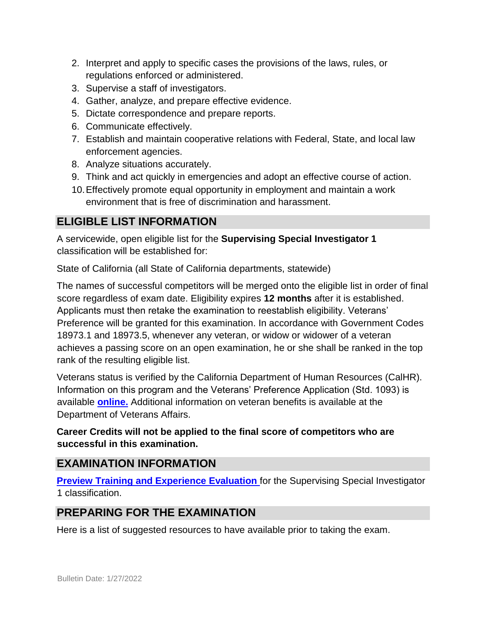- 2. Interpret and apply to specific cases the provisions of the laws, rules, or regulations enforced or administered.
- 3. Supervise a staff of investigators.
- 4. Gather, analyze, and prepare effective evidence.
- 5. Dictate correspondence and prepare reports.
- 6. Communicate effectively.
- 7. Establish and maintain cooperative relations with Federal, State, and local law enforcement agencies.
- 8. Analyze situations accurately.
- 9. Think and act quickly in emergencies and adopt an effective course of action.
- 10.Effectively promote equal opportunity in employment and maintain a work environment that is free of discrimination and harassment.

## **ELIGIBLE LIST INFORMATION**

A servicewide, open eligible list for the **Supervising Special Investigator 1** classification will be established for:

State of California (all State of California departments, statewide)

The names of successful competitors will be merged onto the eligible list in order of final score regardless of exam date. Eligibility expires **12 months** after it is established. Applicants must then retake the examination to reestablish eligibility. Veterans' Preference will be granted for this examination. In accordance with Government Codes 18973.1 and 18973.5, whenever any veteran, or widow or widower of a veteran achieves a passing score on an open examination, he or she shall be ranked in the top rank of the resulting eligible list.

Veterans status is verified by the California Department of Human Resources (CalHR). Information on this program and the Veterans' Preference Application (Std. 1093) is available **[online.](https://www.jobs.ca.gov/CalHRPublic/Landing/Jobs/VeteransInformation.aspx)** [A](https://www.jobs.ca.gov/CalHRPublic/Landing/Jobs/VeteransInformation.aspx)dditional information on veteran benefits is available at the Department of Veterans Affairs.

#### **Career Credits will not be applied to the final score of competitors who are successful in this examination.**

## **EXAMINATION INFORMATION**

**[Preview Training and Experience Evaluation](http://jobs.ca.gov/jobsgen/6PB09d.pdf)** for the Supervising Special Investigator 1 classification.

## **PREPARING FOR THE EXAMINATION**

Here is a list of suggested resources to have available prior to taking the exam.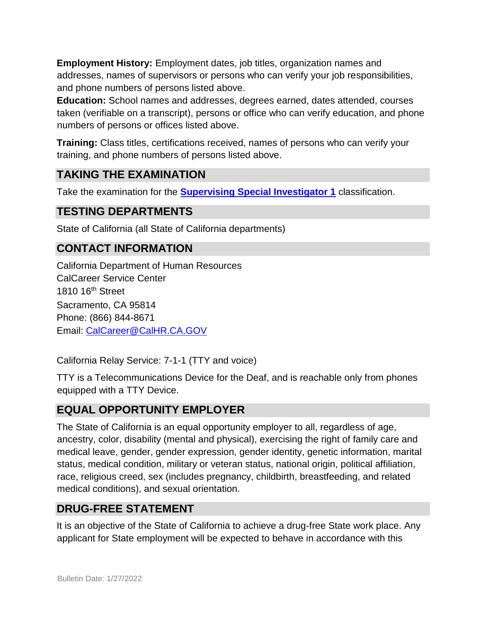**Employment History:** Employment dates, job titles, organization names and addresses, names of supervisors or persons who can verify your job responsibilities, and phone numbers of persons listed above.

**Education:** School names and addresses, degrees earned, dates attended, courses taken (verifiable on a transcript), persons or office who can verify education, and phone numbers of persons or offices listed above.

**Training:** Class titles, certifications received, names of persons who can verify your training, and phone numbers of persons listed above.

#### **TAKING THE EXAMINATION**

Take the examination for the **[Supervising Special Investigator 1](https://www.jobs.ca.gov/Public/Login.aspx?ExamId=6PB09)** [c](https://www.jobs.ca.gov/Public/Login.aspx?ExamId=6PB09)lassification.

#### **TESTING DEPARTMENTS**

State of California (all State of California departments)

## **CONTACT INFORMATION**

California Department of Human Resources CalCareer Service Center 1810 16th Street Sacramento, CA 95814 Phone: (866) 844-8671 Email: CalCareer@CalHR.CA.GOV

California Relay Service: 7-1-1 (TTY and voice)

TTY is a Telecommunications Device for the Deaf, and is reachable only from phones equipped with a TTY Device.

## **EQUAL OPPORTUNITY EMPLOYER**

The State of California is an equal opportunity employer to all, regardless of age, ancestry, color, disability (mental and physical), exercising the right of family care and medical leave, gender, gender expression, gender identity, genetic information, marital status, medical condition, military or veteran status, national origin, political affiliation, race, religious creed, sex (includes pregnancy, childbirth, breastfeeding, and related medical conditions), and sexual orientation.

## **DRUG-FREE STATEMENT**

It is an objective of the State of California to achieve a drug-free State work place. Any applicant for State employment will be expected to behave in accordance with this